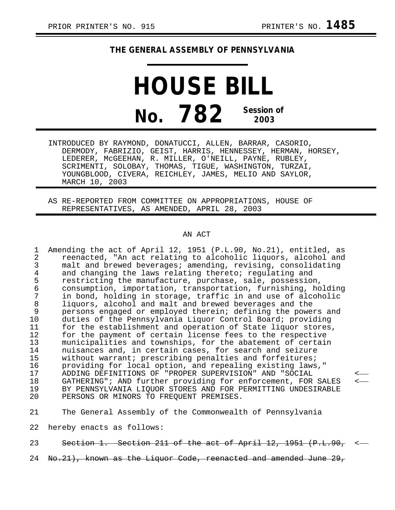## **THE GENERAL ASSEMBLY OF PENNSYLVANIA**

## **HOUSE BILL No. 782 Session of 2003**

INTRODUCED BY RAYMOND, DONATUCCI, ALLEN, BARRAR, CASORIO, DERMODY, FABRIZIO, GEIST, HARRIS, HENNESSEY, HERMAN, HORSEY, LEDERER, McGEEHAN, R. MILLER, O'NEILL, PAYNE, RUBLEY, SCRIMENTI, SOLOBAY, THOMAS, TIGUE, WASHINGTON, TURZAI, YOUNGBLOOD, CIVERA, REICHLEY, JAMES, MELIO AND SAYLOR, MARCH 10, 2003

AS RE-REPORTED FROM COMMITTEE ON APPROPRIATIONS, HOUSE OF REPRESENTATIVES, AS AMENDED, APRIL 28, 2003

## AN ACT

1 Amending the act of April 12, 1951 (P.L.90, No.21), entitled, as 2 reenacted, "An act relating to alcoholic liquors, alcohol and<br>3 malt and brewed beverages; amending, revising, consolidating 3 malt and brewed beverages; amending, revising, consolidating<br>4 and changing the laws relating thereto; regulating and 4 and changing the laws relating thereto; regulating and<br>5 restricting the manufacture, purchase, sale, possessio 5 restricting the manufacture, purchase, sale, possession,<br>6 consumption, importation, transportation, furnishing, ho 6 consumption, importation, transportation, furnishing, holding 7 in bond, holding in storage, traffic in and use of alcoholic 8 liquors, alcohol and malt and brewed beverages and the<br>9 persons engaged or emploved therein; defining the powe 9 persons engaged or employed therein; defining the powers and 10 duties of the Pennsylvania Liquor Control Board; providing<br>11 for the establishment and operation of State liquor stores for the establishment and operation of State liquor stores, 12 for the payment of certain license fees to the respective<br>13 municipalities and townships, for the abatement of certain 13 municipalities and townships, for the abatement of certain<br>14 muisances and, in certain cases, for search and seizure 14 muisances and, in certain cases, for search and seizure<br>15 without warrant; prescribing penalties and forfeitures; 15 without warrant; prescribing penalties and forfeitures;<br>16 providing for local option, and repealing existing laws 16 providing for local option, and repealing existing laws,"<br>17 ADDING DEFINITIONS OF "PROPER SUPERVISION" AND "SOCIAL 17 ADDING DEFINITIONS OF "PROPER SUPERVISION" AND "SOCIAL < 18 GATHERING"; AND further providing for enforcement, FOR SALES < 19 BY PENNSYLVANIA LIQUOR STORES AND FOR PERMITTING UNDESIRABLE<br>20 PERSONS OR MINORS TO FREOUENT PREMISES. PERSONS OR MINORS TO FREQUENT PREMISES.

21 The General Assembly of the Commonwealth of Pennsylvania

22 hereby enacts as follows:

23 Section 1. Section 211 of the act of April 12, 1951 (P.L.90, <-

24 No.21), known as the Liquor Code, reenacted and amended June 29,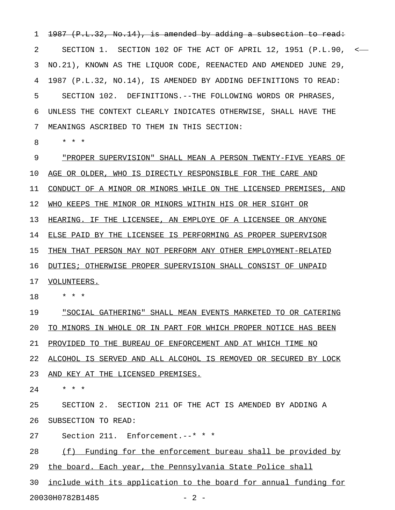2 SECTION 1. SECTION 102 OF THE ACT OF APRIL 12, 1951 (P.L.90, < 3 NO.21), KNOWN AS THE LIQUOR CODE, REENACTED AND AMENDED JUNE 29, 4 1987 (P.L.32, NO.14), IS AMENDED BY ADDING DEFINITIONS TO READ: 5 SECTION 102. DEFINITIONS.--THE FOLLOWING WORDS OR PHRASES, 6 UNLESS THE CONTEXT CLEARLY INDICATES OTHERWISE, SHALL HAVE THE 7 MEANINGS ASCRIBED TO THEM IN THIS SECTION:

1 <del>1987 (P.L.32, No.14), is amended by adding a subsection to read:</del>

8 \* \* \*

9 PROPER SUPERVISION" SHALL MEAN A PERSON TWENTY-FIVE YEARS OF 10 AGE OR OLDER, WHO IS DIRECTLY RESPONSIBLE FOR THE CARE AND 11 CONDUCT OF A MINOR OR MINORS WHILE ON THE LICENSED PREMISES, AND 12 WHO KEEPS THE MINOR OR MINORS WITHIN HIS OR HER SIGHT OR 13 HEARING. IF THE LICENSEE, AN EMPLOYE OF A LICENSEE OR ANYONE 14 ELSE PAID BY THE LICENSEE IS PERFORMING AS PROPER SUPERVISOR 15 THEN THAT PERSON MAY NOT PERFORM ANY OTHER EMPLOYMENT-RELATED 16 DUTIES; OTHERWISE PROPER SUPERVISION SHALL CONSIST OF UNPAID 17 VOLUNTEERS.

18 \* \* \*

19 • SOCIAL GATHERING" SHALL MEAN EVENTS MARKETED TO OR CATERING 20 TO MINORS IN WHOLE OR IN PART FOR WHICH PROPER NOTICE HAS BEEN 21 PROVIDED TO THE BUREAU OF ENFORCEMENT AND AT WHICH TIME NO

22 ALCOHOL IS SERVED AND ALL ALCOHOL IS REMOVED OR SECURED BY LOCK 23 AND KEY AT THE LICENSED PREMISES.

24 \* \* \*

25 SECTION 2. SECTION 211 OF THE ACT IS AMENDED BY ADDING A 26 SUBSECTION TO READ:

27 Section 211. Enforcement.--\* \* \*

28 (f) Funding for the enforcement bureau shall be provided by

29 the board. Each year, the Pennsylvania State Police shall

30 include with its application to the board for annual funding for

20030H0782B1485 - 2 -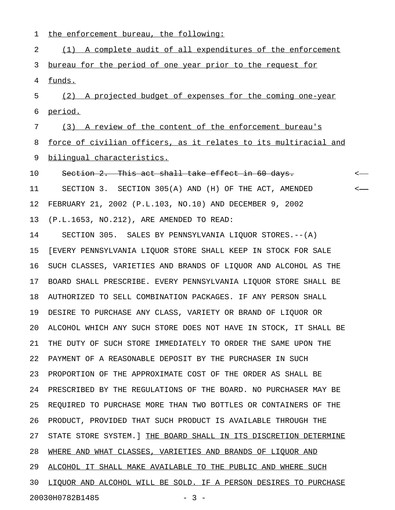1 the enforcement bureau, the following:

2 (1) A complete audit of all expenditures of the enforcement 3 bureau for the period of one year prior to the request for 4 funds. 5 (2) A projected budget of expenses for the coming one-year 6 period. 7 (3) A review of the content of the enforcement bureau's 8 force of civilian officers, as it relates to its multiracial and 9 bilingual characteristics. 10 Section 2. This act shall take effect in 60 days. 11 SECTION 3. SECTION 305(A) AND (H) OF THE ACT, AMENDED < 12 FEBRUARY 21, 2002 (P.L.103, NO.10) AND DECEMBER 9, 2002 13 (P.L.1653, NO.212), ARE AMENDED TO READ: 14 SECTION 305. SALES BY PENNSYLVANIA LIQUOR STORES.--(A) 15 [EVERY PENNSYLVANIA LIQUOR STORE SHALL KEEP IN STOCK FOR SALE 16 SUCH CLASSES, VARIETIES AND BRANDS OF LIQUOR AND ALCOHOL AS THE 17 BOARD SHALL PRESCRIBE. EVERY PENNSYLVANIA LIQUOR STORE SHALL BE 18 AUTHORIZED TO SELL COMBINATION PACKAGES. IF ANY PERSON SHALL 19 DESIRE TO PURCHASE ANY CLASS, VARIETY OR BRAND OF LIQUOR OR 20 ALCOHOL WHICH ANY SUCH STORE DOES NOT HAVE IN STOCK, IT SHALL BE 21 THE DUTY OF SUCH STORE IMMEDIATELY TO ORDER THE SAME UPON THE 22 PAYMENT OF A REASONABLE DEPOSIT BY THE PURCHASER IN SUCH 23 PROPORTION OF THE APPROXIMATE COST OF THE ORDER AS SHALL BE 24 PRESCRIBED BY THE REGULATIONS OF THE BOARD. NO PURCHASER MAY BE 25 REQUIRED TO PURCHASE MORE THAN TWO BOTTLES OR CONTAINERS OF THE 26 PRODUCT, PROVIDED THAT SUCH PRODUCT IS AVAILABLE THROUGH THE 27 STATE STORE SYSTEM.] THE BOARD SHALL IN ITS DISCRETION DETERMINE 28 WHERE AND WHAT CLASSES, VARIETIES AND BRANDS OF LIQUOR AND 29 ALCOHOL IT SHALL MAKE AVAILABLE TO THE PUBLIC AND WHERE SUCH 30 LIQUOR AND ALCOHOL WILL BE SOLD. IF A PERSON DESIRES TO PURCHASE

20030H0782B1485 - 3 -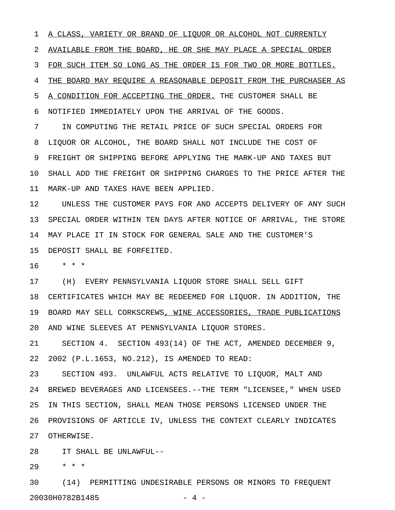1 A CLASS, VARIETY OR BRAND OF LIQUOR OR ALCOHOL NOT CURRENTLY 2 AVAILABLE FROM THE BOARD, HE OR SHE MAY PLACE A SPECIAL ORDER 3 FOR SUCH ITEM SO LONG AS THE ORDER IS FOR TWO OR MORE BOTTLES. 4 THE BOARD MAY REQUIRE A REASONABLE DEPOSIT FROM THE PURCHASER AS 5 A CONDITION FOR ACCEPTING THE ORDER. THE CUSTOMER SHALL BE 6 NOTIFIED IMMEDIATELY UPON THE ARRIVAL OF THE GOODS. 7 IN COMPUTING THE RETAIL PRICE OF SUCH SPECIAL ORDERS FOR

8 LIQUOR OR ALCOHOL, THE BOARD SHALL NOT INCLUDE THE COST OF 9 FREIGHT OR SHIPPING BEFORE APPLYING THE MARK-UP AND TAXES BUT 10 SHALL ADD THE FREIGHT OR SHIPPING CHARGES TO THE PRICE AFTER THE 11 MARK-UP AND TAXES HAVE BEEN APPLIED.

12 UNLESS THE CUSTOMER PAYS FOR AND ACCEPTS DELIVERY OF ANY SUCH 13 SPECIAL ORDER WITHIN TEN DAYS AFTER NOTICE OF ARRIVAL, THE STORE 14 MAY PLACE IT IN STOCK FOR GENERAL SALE AND THE CUSTOMER'S 15 DEPOSIT SHALL BE FORFEITED.

16 \* \* \*

17 (H) EVERY PENNSYLVANIA LIQUOR STORE SHALL SELL GIFT 18 CERTIFICATES WHICH MAY BE REDEEMED FOR LIQUOR. IN ADDITION, THE 19 BOARD MAY SELL CORKSCREWS, WINE ACCESSORIES, TRADE PUBLICATIONS 20 AND WINE SLEEVES AT PENNSYLVANIA LIQUOR STORES.

21 SECTION 4. SECTION 493(14) OF THE ACT, AMENDED DECEMBER 9, 22 2002 (P.L.1653, NO.212), IS AMENDED TO READ:

23 SECTION 493. UNLAWFUL ACTS RELATIVE TO LIQUOR, MALT AND 24 BREWED BEVERAGES AND LICENSEES.--THE TERM "LICENSEE," WHEN USED 25 IN THIS SECTION, SHALL MEAN THOSE PERSONS LICENSED UNDER THE 26 PROVISIONS OF ARTICLE IV, UNLESS THE CONTEXT CLEARLY INDICATES 27 OTHERWISE.

28 IT SHALL BE UNLAWFUL--

29 \* \* \*

30 (14) PERMITTING UNDESIRABLE PERSONS OR MINORS TO FREQUENT 20030H0782B1485 - 4 -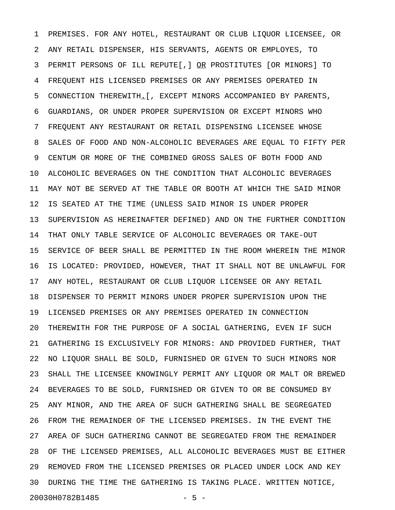1 PREMISES. FOR ANY HOTEL, RESTAURANT OR CLUB LIQUOR LICENSEE, OR 2 ANY RETAIL DISPENSER, HIS SERVANTS, AGENTS OR EMPLOYES, TO 3 PERMIT PERSONS OF ILL REPUTE[,] OR PROSTITUTES [OR MINORS] TO \_\_ 4 FREQUENT HIS LICENSED PREMISES OR ANY PREMISES OPERATED IN 5 CONNECTION THEREWITH.[, EXCEPT MINORS ACCOMPANIED BY PARENTS, \_ 6 GUARDIANS, OR UNDER PROPER SUPERVISION OR EXCEPT MINORS WHO 7 FREQUENT ANY RESTAURANT OR RETAIL DISPENSING LICENSEE WHOSE 8 SALES OF FOOD AND NON-ALCOHOLIC BEVERAGES ARE EQUAL TO FIFTY PER 9 CENTUM OR MORE OF THE COMBINED GROSS SALES OF BOTH FOOD AND 10 ALCOHOLIC BEVERAGES ON THE CONDITION THAT ALCOHOLIC BEVERAGES 11 MAY NOT BE SERVED AT THE TABLE OR BOOTH AT WHICH THE SAID MINOR 12 IS SEATED AT THE TIME (UNLESS SAID MINOR IS UNDER PROPER 13 SUPERVISION AS HEREINAFTER DEFINED) AND ON THE FURTHER CONDITION 14 THAT ONLY TABLE SERVICE OF ALCOHOLIC BEVERAGES OR TAKE-OUT 15 SERVICE OF BEER SHALL BE PERMITTED IN THE ROOM WHEREIN THE MINOR 16 IS LOCATED: PROVIDED, HOWEVER, THAT IT SHALL NOT BE UNLAWFUL FOR 17 ANY HOTEL, RESTAURANT OR CLUB LIQUOR LICENSEE OR ANY RETAIL 18 DISPENSER TO PERMIT MINORS UNDER PROPER SUPERVISION UPON THE 19 LICENSED PREMISES OR ANY PREMISES OPERATED IN CONNECTION 20 THEREWITH FOR THE PURPOSE OF A SOCIAL GATHERING, EVEN IF SUCH 21 GATHERING IS EXCLUSIVELY FOR MINORS: AND PROVIDED FURTHER, THAT 22 NO LIQUOR SHALL BE SOLD, FURNISHED OR GIVEN TO SUCH MINORS NOR 23 SHALL THE LICENSEE KNOWINGLY PERMIT ANY LIQUOR OR MALT OR BREWED 24 BEVERAGES TO BE SOLD, FURNISHED OR GIVEN TO OR BE CONSUMED BY 25 ANY MINOR, AND THE AREA OF SUCH GATHERING SHALL BE SEGREGATED 26 FROM THE REMAINDER OF THE LICENSED PREMISES. IN THE EVENT THE 27 AREA OF SUCH GATHERING CANNOT BE SEGREGATED FROM THE REMAINDER 28 OF THE LICENSED PREMISES, ALL ALCOHOLIC BEVERAGES MUST BE EITHER 29 REMOVED FROM THE LICENSED PREMISES OR PLACED UNDER LOCK AND KEY 30 DURING THE TIME THE GATHERING IS TAKING PLACE. WRITTEN NOTICE, 20030H0782B1485 - 5 -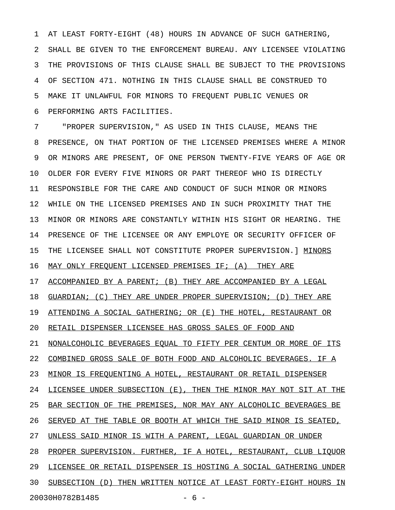1 AT LEAST FORTY-EIGHT (48) HOURS IN ADVANCE OF SUCH GATHERING, 2 SHALL BE GIVEN TO THE ENFORCEMENT BUREAU. ANY LICENSEE VIOLATING 3 THE PROVISIONS OF THIS CLAUSE SHALL BE SUBJECT TO THE PROVISIONS 4 OF SECTION 471. NOTHING IN THIS CLAUSE SHALL BE CONSTRUED TO 5 MAKE IT UNLAWFUL FOR MINORS TO FREQUENT PUBLIC VENUES OR 6 PERFORMING ARTS FACILITIES.

7 "PROPER SUPERVISION," AS USED IN THIS CLAUSE, MEANS THE 8 PRESENCE, ON THAT PORTION OF THE LICENSED PREMISES WHERE A MINOR 9 OR MINORS ARE PRESENT, OF ONE PERSON TWENTY-FIVE YEARS OF AGE OR 10 OLDER FOR EVERY FIVE MINORS OR PART THEREOF WHO IS DIRECTLY 11 RESPONSIBLE FOR THE CARE AND CONDUCT OF SUCH MINOR OR MINORS 12 WHILE ON THE LICENSED PREMISES AND IN SUCH PROXIMITY THAT THE 13 MINOR OR MINORS ARE CONSTANTLY WITHIN HIS SIGHT OR HEARING. THE 14 PRESENCE OF THE LICENSEE OR ANY EMPLOYE OR SECURITY OFFICER OF 15 THE LICENSEE SHALL NOT CONSTITUTE PROPER SUPERVISION. ] MINORS 16 MAY ONLY FREQUENT LICENSED PREMISES IF; (A) THEY ARE 17 ACCOMPANIED BY A PARENT; (B) THEY ARE ACCOMPANIED BY A LEGAL 18 GUARDIAN; (C) THEY ARE UNDER PROPER SUPERVISION; (D) THEY ARE 19 ATTENDING A SOCIAL GATHERING; OR (E) THE HOTEL, RESTAURANT OR 20 RETAIL DISPENSER LICENSEE HAS GROSS SALES OF FOOD AND 21 NONALCOHOLIC BEVERAGES EQUAL TO FIFTY PER CENTUM OR MORE OF ITS 22 COMBINED GROSS SALE OF BOTH FOOD AND ALCOHOLIC BEVERAGES. IF A 23 MINOR IS FREQUENTING A HOTEL, RESTAURANT OR RETAIL DISPENSER 24 LICENSEE UNDER SUBSECTION (E), THEN THE MINOR MAY NOT SIT AT THE 25 BAR SECTION OF THE PREMISES, NOR MAY ANY ALCOHOLIC BEVERAGES BE 26 SERVED AT THE TABLE OR BOOTH AT WHICH THE SAID MINOR IS SEATED, 27 UNLESS SAID MINOR IS WITH A PARENT, LEGAL GUARDIAN OR UNDER 28 PROPER SUPERVISION. FURTHER, IF A HOTEL, RESTAURANT, CLUB LIQUOR 29 LICENSEE OR RETAIL DISPENSER IS HOSTING A SOCIAL GATHERING UNDER 30 SUBSECTION (D) THEN WRITTEN NOTICE AT LEAST FORTY-EIGHT HOURS IN

20030H0782B1485 - 6 -